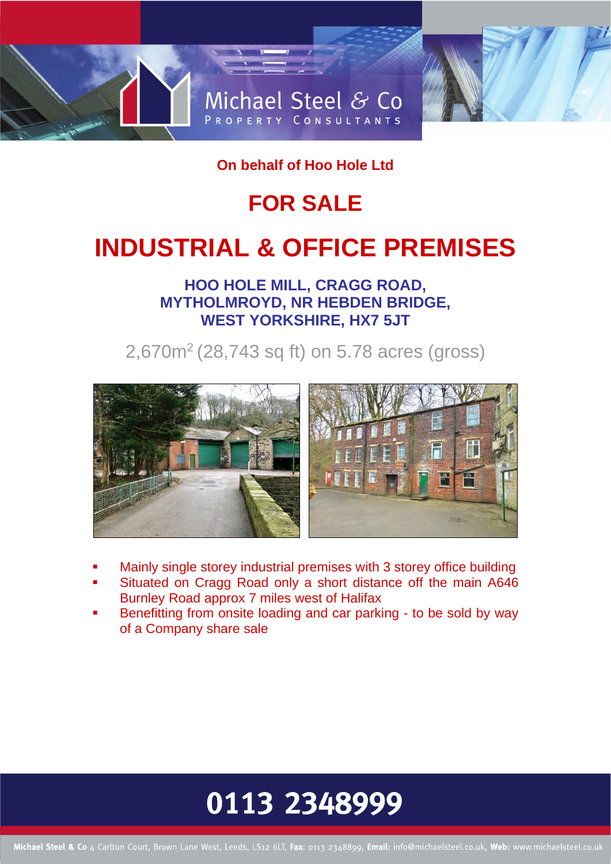

**On behalf of Hoo Hole Ltd** 

## **FOR SALE**

# **INDUSTRIAL & OFFICE PREMISES**

**HOO HOLE MILL, CRAGG ROAD, MYTHOLMROYD, NR HEBDEN BRIDGE, WEST YORKSHIRE, HX7 5JT**

2,670m<sup>2</sup> (28,743 sq ft) on 5.78 acres (gross)



- Mainly single storey industrial premises with 3 storey office building
- Situated on Cragg Road only a short distance off the main A646 Burnley Road approx 7 miles west of Halifax
- Benefitting from onsite loading and car parking to be sold by way of a Company share sale

# 0113 2348999